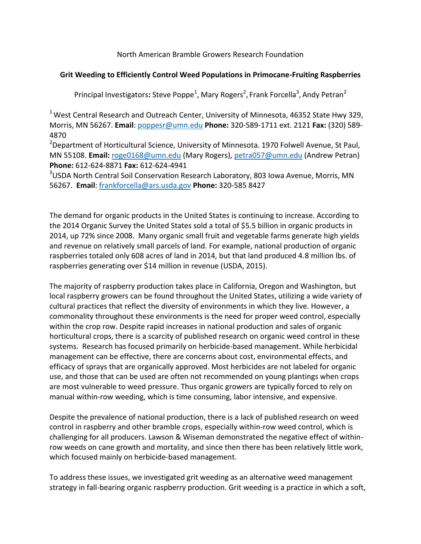North American Bramble Growers Research Foundation

## **Grit Weeding to Efficiently Control Weed Populations in Primocane-Fruiting Raspberries**

Principal Investigators: Steve Poppe<sup>1</sup>, Mary Rogers<sup>2</sup>, Frank Forcella<sup>3</sup>, Andy Petran<sup>2</sup>

 $<sup>1</sup>$  West Central Research and Outreach Center, University of Minnesota, 46352 State Hwy 329,</sup> Morris, MN 56267. **Email**: [poppesr@umn.edu](mailto:poppesr@umn.edu) **Phone:** 320-589-1711 ext. 2121 **Fax:** (320) 589- 4870

<sup>2</sup>Department of Horticultural Science, University of Minnesota. 1970 Folwell Avenue, St Paul, MN 55108. **Email:** [roge0168@umn.edu](mailto:roge0168@umn.edu) (Mary Rogers)[, petra057@umn.edu](mailto:petra057@umn.edu) (Andrew Petran) **Phone:** 612-624-8871 **Fax:** 612-624-4941

<sup>3</sup>USDA North Central Soil Conservation Research Laboratory, 803 Iowa Avenue, Morris, MN 56267. **Email**: [frankforcella@ars.usda.gov](mailto:frankforcella@ars.usda.gov) **Phone:** 320-585 8427

The demand for organic products in the United States is continuing to increase. According to the [2014 Organic Survey](https://www.agcensus.usda.gov/Publications/Organic_Survey/) the United States sold a total of \$5.5 billion in organic products in 2014, up 72% since 2008. Many organic small fruit and vegetable farms generate high yields and revenue on relatively small parcels of land. For example, national production of organic raspberries totaled only 608 acres of land in 2014, but that land produced 4.8 million lbs. of raspberries generating over \$14 million in revenue [\(USDA, 2015\)](https://www.agcensus.usda.gov/Publications/2012/Online_Resources/Organics/organics_1_007_007.pdf).

The majority of raspberry production takes place in California, Oregon and Washington, but local raspberry growers can be found throughout the United States, utilizing a wide variety of cultural practices that reflect the diversity of environments in which they live. However, a commonality throughout these environments is the need for proper weed control, especially within the crop row. Despite rapid increases in national production and sales of organic horticultural crops, there is a scarcity of published research on organic weed control in these systems. Research has focused primarily on [herbicide-based management.](http://www.tandfonline.com/doi/abs/10.1080/15538362.2015.1044694) While herbicidal management can be effective, there are concerns about cost, environmental effects, and efficacy of sprays that are organically approved. Most herbicides are not labeled for organic use, and those that can be used are often not recommended on young plantings when crops are most vulnerable t[o](http://onlinelibrary.wiley.com/doi/10.1111/j.1365-3180.1976.tb00396.x/abstract) [weed pressure.](http://onlinelibrary.wiley.com/doi/10.1111/j.1365-3180.1976.tb00396.x/abstract) Thus organic growers are typically forced to rely on manual within-row weeding, which is time consuming, labor intensive, and expensive.

Despite the prevalence of national production, there is a lack of published research on weed control in raspberry and other bramble crops, especially within-row weed control, which is challenging for all producers. Lawson & Wiseman demonstrated the negative effect of withinrow weeds on cane growth and mortality, and since then there has been relatively little work, which focused mainly on herbicide-based management.

To address these issues, we investigated grit weeding as an alternative weed management strategy in fall-bearing organic raspberry production. Grit weeding is a practice in which a soft,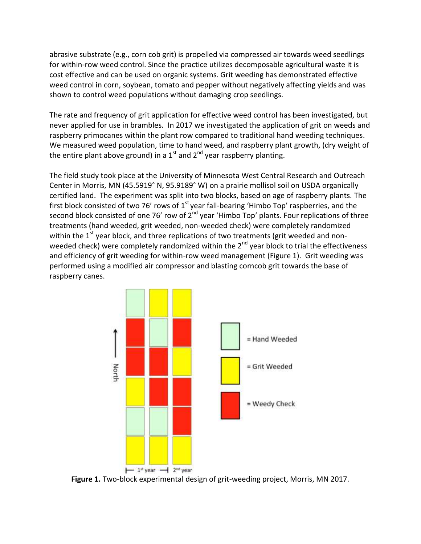abrasive substrate (e.g., corn cob grit) is propelled via compressed air towards weed seedlings for within-row weed control. Since the practice utilizes decomposable agricultural waste it is cost effective and can be used on organic systems. Grit weeding has demonstrated effective weed control in corn, soybean, tomato and pepper without negatively affecting yields and was shown to control weed populations without damaging crop seedlings.

The rate and frequency of grit application for effective weed control has been investigated, but never applied for use in brambles. In 2017 we investigated the application of grit on weeds and raspberry primocanes within the plant row compared to traditional hand weeding techniques. We measured weed population, time to hand weed, and raspberry plant growth, (dry weight of the entire plant above ground) in a  $1<sup>st</sup>$  and  $2<sup>nd</sup>$  year raspberry planting.

The field study took place at the University of Minnesota West Central Research and Outreach Center in Morris, MN (45.5919° N, 95.9189° W) on a prairie mollisol soil on USDA organically certified land. The experiment was split into two blocks, based on age of raspberry plants. The first block consisted of two 76' rows of  $1<sup>st</sup>$  year fall-bearing 'Himbo Top' raspberries, and the second block consisted of one 76' row of 2<sup>nd</sup> year 'Himbo Top' plants. Four replications of three treatments (hand weeded, grit weeded, non-weeded check) were completely randomized within the  $1<sup>st</sup>$  year block, and three replications of two treatments (grit weeded and nonweeded check) were completely randomized within the 2<sup>nd</sup> year block to trial the effectiveness and efficiency of grit weeding for within-row weed management (Figure 1). Grit weeding was performed using a modified air compressor and blasting corncob grit towards the base of raspberry canes.



**Figure 1.** Two-block experimental design of grit-weeding project, Morris, MN 2017.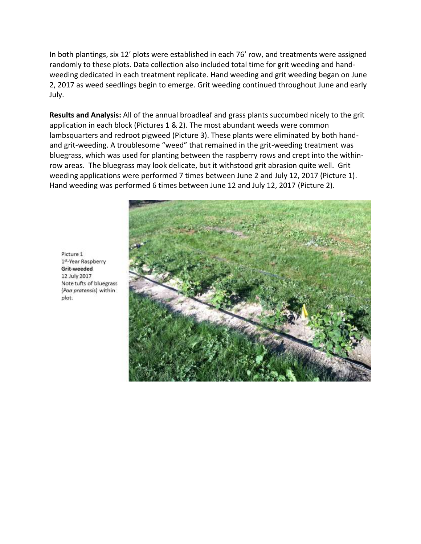In both plantings, six 12' plots were established in each 76' row, and treatments were assigned randomly to these plots. Data collection also included total time for grit weeding and handweeding dedicated in each treatment replicate. Hand weeding and grit weeding began on June 2, 2017 as weed seedlings begin to emerge. Grit weeding continued throughout June and early July.

**Results and Analysis:** All of the annual broadleaf and grass plants succumbed nicely to the grit application in each block (Pictures 1 & 2). The most abundant weeds were common lambsquarters and redroot pigweed (Picture 3). These plants were eliminated by both handand grit-weeding. A troublesome "weed" that remained in the grit-weeding treatment was bluegrass, which was used for planting between the raspberry rows and crept into the withinrow areas. The bluegrass may look delicate, but it withstood grit abrasion quite well. Grit weeding applications were performed 7 times between June 2 and July 12, 2017 (Picture 1). Hand weeding was performed 6 times between June 12 and July 12, 2017 (Picture 2).



Picture 1 1st-Year Raspberry Grit-weeded 12 July 2017 Note tufts of bluegrass (Poa pratensis) within plot.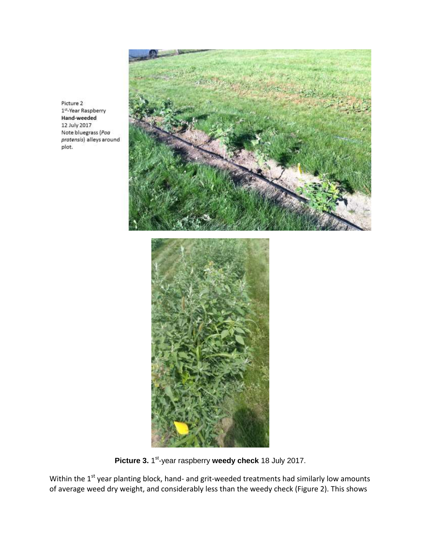Picture 2 1st-Year Raspberry Hand-weeded 12 July 2017 Note bluegrass (Poa pratensis) alleys around plot.



Picture 3. 1<sup>st</sup>-year raspberry weedy check 18 July 2017.

Within the  $1<sup>st</sup>$  year planting block, hand- and grit-weeded treatments had similarly low amounts of average weed dry weight, and considerably less than the weedy check (Figure 2). This shows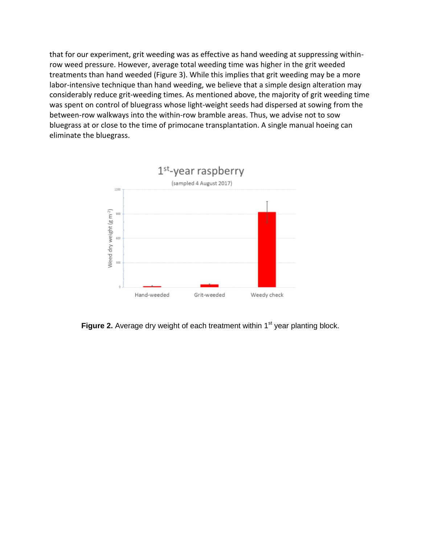that for our experiment, grit weeding was as effective as hand weeding at suppressing withinrow weed pressure. However, average total weeding time was higher in the grit weeded treatments than hand weeded (Figure 3). While this implies that grit weeding may be a more labor-intensive technique than hand weeding, we believe that a simple design alteration may considerably reduce grit-weeding times. As mentioned above, the majority of grit weeding time was spent on control of bluegrass whose light-weight seeds had dispersed at sowing from the between-row walkways into the within-row bramble areas. Thus, we advise not to sow bluegrass at or close to the time of primocane transplantation. A single manual hoeing can eliminate the bluegrass.



**Figure 2.** Average dry weight of each treatment within 1<sup>st</sup> year planting block.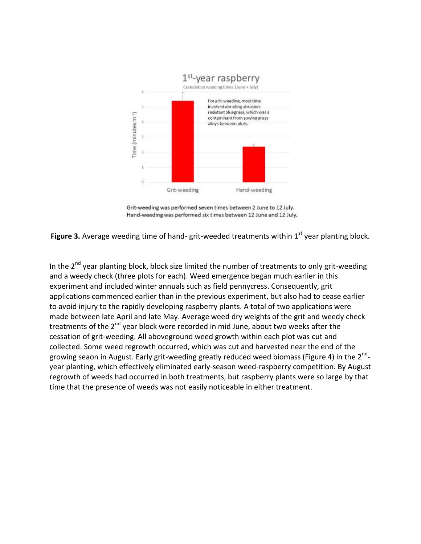

Grit-weeding was performed seven times between 2 June to 12 July. Hand-weeding was performed six times between 12 June and 12 July.

**Figure 3.** Average weeding time of hand- grit-weeded treatments within 1<sup>st</sup> year planting block.

In the  $2^{nd}$  year planting block, block size limited the number of treatments to only grit-weeding and a weedy check (three plots for each). Weed emergence began much earlier in this experiment and included winter annuals such as field pennycress. Consequently, grit applications commenced earlier than in the previous experiment, but also had to cease earlier to avoid injury to the rapidly developing raspberry plants. A total of two applications were made between late April and late May. Average weed dry weights of the grit and weedy check treatments of the  $2^{nd}$  year block were recorded in mid June, about two weeks after the cessation of grit-weeding. All aboveground weed growth within each plot was cut and collected. Some weed regrowth occurred, which was cut and harvested near the end of the growing seaon in August. Early grit-weeding greatly reduced weed biomass (Figure 4) in the 2<sup>nd</sup>year planting, which effectively eliminated early-season weed-raspberry competition. By August regrowth of weeds had occurred in both treatments, but raspberry plants were so large by that time that the presence of weeds was not easily noticeable in either treatment.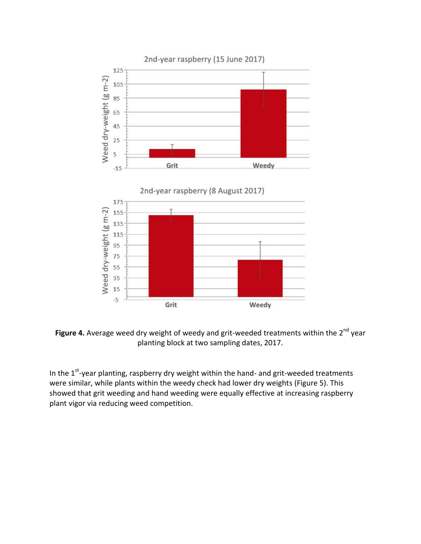

Figure 4. Average weed dry weight of weedy and grit-weeded treatments within the 2<sup>nd</sup> year planting block at two sampling dates, 2017.

In the  $1^{st}$ -year planting, raspberry dry weight within the hand- and grit-weeded treatments were similar, while plants within the weedy check had lower dry weights (Figure 5). This showed that grit weeding and hand weeding were equally effective at increasing raspberry plant vigor via reducing weed competition.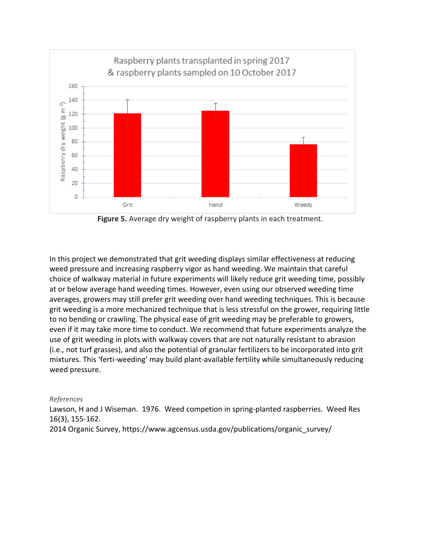

**Figure 5.** Average dry weight of raspberry plants in each treatment.

In this project we demonstrated that grit weeding displays similar effectiveness at reducing weed pressure and increasing raspberry vigor as hand weeding. We maintain that careful choice of walkway material in future experiments will likely reduce grit weeding time, possibly at or below average hand weeding times. However, even using our observed weeding time averages, growers may still prefer grit weeding over hand weeding techniques. This is because grit weeding is a more mechanized technique that is less stressful on the grower, requiring little to no bending or crawling. The physical ease of grit weeding may be preferable to growers, even if it may take more time to conduct. We recommend that future experiments analyze the use of grit weeding in plots with walkway covers that are not naturally resistant to abrasion (i.e., not turf grasses), and also the potential of granular fertilizers to be incorporated into grit mixtures. This 'ferti-weeding' may build plant-available fertility while simultaneously reducing weed pressure.

## *References*

Lawson, H and J Wiseman. 1976. Weed competion in spring-planted raspberries. Weed Res 16(3), 155-162.

2014 Organic Survey, https://www.agcensus.usda.gov/publications/organic\_survey/